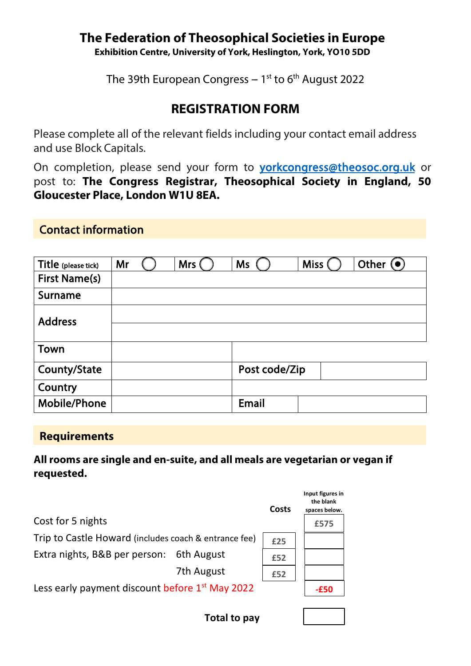#### **The Federation of Theosophical Societies in Europe Exhibition Centre, University of York, Heslington, York, YO10 5DD**

The 39th European Congress – 1 $^{\rm st}$  to 6 $^{\rm th}$  August 2022

# **REGISTRATION FORM**

Please complete all of the relevant fields including your contact email address and use Block Capitals.

On completion, please send your form t[o yorkcongress@theosoc.org.uk](mailto:yorkcongress@theosoc.org.uk) or post to: **The Congress Registrar, Theosophical Society in England, 50 Gloucester Place, London W1U 8EA.** 

#### Contact information

| Title (please tick)  | Mr | Mrs ( | <b>Ms</b>     | <b>Miss</b> | Other $\odot$ |
|----------------------|----|-------|---------------|-------------|---------------|
| <b>First Name(s)</b> |    |       |               |             |               |
| Surname              |    |       |               |             |               |
| <b>Address</b>       |    |       |               |             |               |
| <b>Town</b>          |    |       |               |             |               |
| County/State         |    |       | Post code/Zip |             |               |
| Country              |    |       |               |             |               |
| Mobile/Phone         |    |       | Email         |             |               |

#### **Requirements**

**All rooms are single and en-suite, and all meals are vegetarian or vegan if requested.**

|                                                             |            | Costs | Input figures in<br>the blank<br>spaces below. |
|-------------------------------------------------------------|------------|-------|------------------------------------------------|
| Cost for 5 nights                                           |            |       | £575                                           |
| Trip to Castle Howard (includes coach & entrance fee)       |            |       |                                                |
| Extra nights, B&B per person:                               | 6th August | £52   |                                                |
|                                                             | 7th August | £52   |                                                |
| Less early payment discount before 1 <sup>st</sup> May 2022 |            |       |                                                |
|                                                             |            |       |                                                |

**Total to pay**